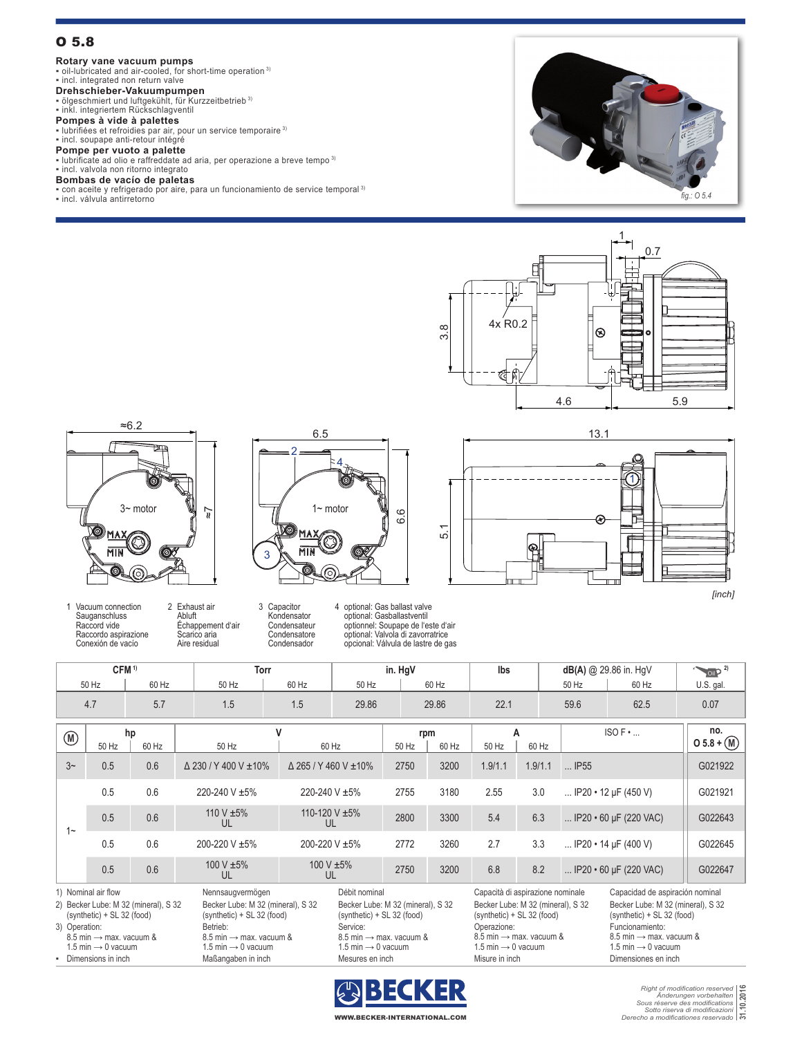# O 5.8

## **Rotary vane vacuum pumps**

**•** oil-lubricated and air-cooled, for short-time operation <sup>3)</sup><br>• incl. integrated non return valve

# **Drehschieber-Vakuumpumpen**

▪ ölgeschmiert und luftgekühlt, für Kurzzeitbetrieb 3) ▪ inkl. integriertem Rückschlagventil

### **Pompes à vide à palettes**

▪ lubrifiées et refroidies par air, pour un service temporaire 3) ▪ incl. soupape anti-retour intégré

**Pompe per vuoto a palette**<br>▪ lubrificate ad olio e raffreddate ad aria, per operazione a breve tempo <sup>3)</sup> ▪ incl. valvola non ritorno integrato

# **Bombas de vacío de paletas**

▪ con aceite y refrigerado por aire, para un funcionamiento de service temporal 3)

▪ incl. válvula antirretorno







1 Vacuum connection **Sauganschluss** Raccord vide Raccordo aspirazione Conexión de vacío

2 Exhaust air Abluft Échappement d'air Scarico aria Aire residual

6.6 3 2 4

6.5

3 Capacitor Kondensator **Condensateur** Condensatore Condensador

4 optional: Gas ballast valve optional: Gasballastventil optionnel: Soupape de l'este d'air optional: Valvola di zavorratrice opcional: Válvula de lastre de gas

**CFM**<sup>1)</sup> **Torr in. HgV lbs dB(A)**  $\bigcirc$  29.86 in. HgV **2019**<sup>2)</sup>



*[inch]*

50 Hz | 60 Hz | 50 Hz | 60 Hz | 50 Hz | 60 Hz | 50 Hz | 50 Hz | 60 Hz | U.S. gal. 4.7 5.7 1.5 1.5 29.86 29.86 22.1 59.6 62.5 0.07 **<sup>M</sup> hp <sup>V</sup> rpm <sup>A</sup>** ISO F • ... **no.** 50 Hz 60 Hz 50 Hz 60 Hz 50 Hz 60 Hz 50 Hz 60 Hz **O 5.8 + M** 3~ 0.5 0.6 Δ 230 / Y 400 V ±10% Δ 265 / Y 460 V ±10% 2750 3200 1.9/1.1 1.9/1.1 ... IP55 G021922 1~ 0.5 0.6 220-240 V ±5% 220-240 V ±5% 2755 3180 2.55 3.0 ... IP20 • 12 μF (450 V) G021921 0.5 0.6  $110 V ±5\%$ UL 110-120 V ±5% 2800 3300 5.4 6.3 ... IP20 • 60 μF (220 VAC) G022643 0.5 0.6 200-220 V ±5% 200-220 V ±5% 2772 3260 2.7 3.3 ... IP20 • 14 μF (400 V) G022645 0.5 0.6  $100 V ±5\%$ UL 100 V ±5%<br>UL 2750 3200 6.8 8.2 ... IP20 • 60 μF (220 VAC) | G022647 1) Nominal air flow Nennsaugvermögen Débit nominal Capacità di aspirazione nominale Capacidad de aspiración nominal 2) Becker Lube: M 32 (mineral), S 32 (synthetic) + SL 32 (food) Becker Lube: M 32 (mineral), S 32 (synthetic) + SL 32 (food) Becker Lube: M 32 (mineral), S 32 (synthetic) + SL 32 (food) Becker Lube: M 32 (mineral), S 32 (synthetic) + SL 32 (food) Becker Lube: M 32 (mineral), S 32 (synthetic) + SL 32 (food) 3) Operation:  $8.5$  min  $\rightarrow$  max. vacuum & 1.5 min  $\rightarrow$  0 vacuum Betrieb:  $8.5$  min  $\rightarrow$  max. vacuum & 1.5 min  $\rightarrow$  0 vacuum Service:  $8.5$  min  $\rightarrow$  max. vacuum & 1.5 min  $\rightarrow$  0 vacuum Operazione: 8.5 min → max. vacuum & 1.5 min  $\rightarrow$  0 vacuum Funcionamiento:  $8.5$  min  $\rightarrow$  max. vacuum & 1.5 min  $\rightarrow$  0 vacuum **EXAMPLE DIMENSIONS IN ARREST CONFIDENTIAL CONFIDENTIAL CONFIDENTIAL CONFIDENTIAL CONFIDENTIAL CONFIDENTIAL CONFIDENTIAL CONFIDENTIAL CONFIDENTIAL CONFIDENTIAL CONFIDENTIAL CONFIDENTIAL CONFIDENTIAL CONFIDENTIAL CONFIDENT** 



*Right of modification reserved Änderungen vorbehalten Sous réserve des modifications Sotto riserva di modificazioni Derecho a modificationes reservado* **31.10.2016**

WWW.BECKER-INTERNATIONAL.COM